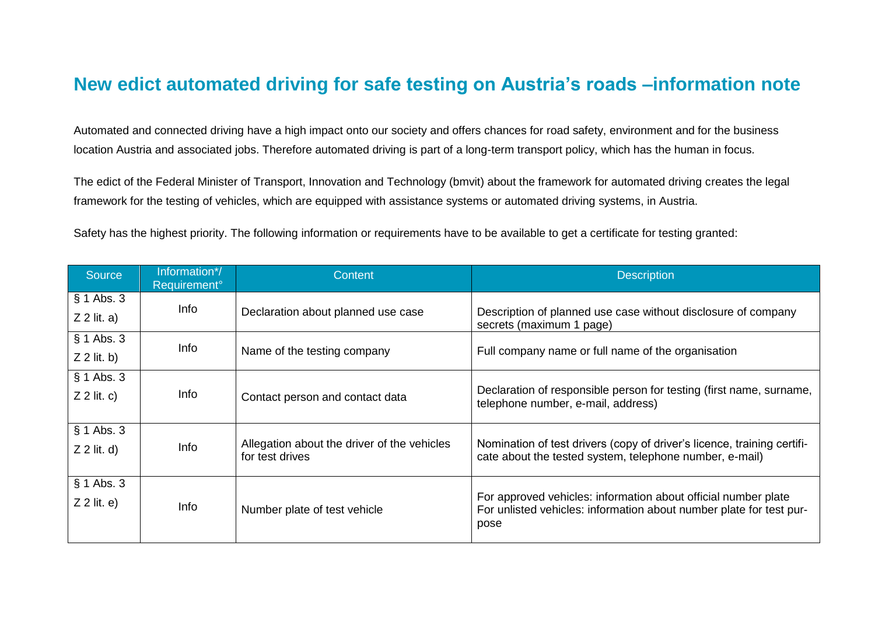## **New edict automated driving for safe testing on Austria's roads –information note**

Automated and connected driving have a high impact onto our society and offers chances for road safety, environment and for the business location Austria and associated jobs. Therefore automated driving is part of a long-term transport policy, which has the human in focus.

The edict of the Federal Minister of Transport, Innovation and Technology (bmvit) about the framework for automated driving creates the legal framework for the testing of vehicles, which are equipped with assistance systems or automated driving systems, in Austria.

Safety has the highest priority. The following information or requirements have to be available to get a certificate for testing granted:

| Source                        | Information*/<br>Requirement <sup>o</sup> | Content                                                        | <b>Description</b>                                                                                                                            |
|-------------------------------|-------------------------------------------|----------------------------------------------------------------|-----------------------------------------------------------------------------------------------------------------------------------------------|
| $§ 1$ Abs. 3<br>$Z$ 2 lit. a) | Info                                      | Declaration about planned use case                             | Description of planned use case without disclosure of company<br>secrets (maximum 1 page)                                                     |
| $§ 1$ Abs. 3<br>$Z$ 2 lit. b) | Info                                      | Name of the testing company                                    | Full company name or full name of the organisation                                                                                            |
| $§ 1$ Abs. 3<br>$Z$ 2 lit. c) | Info                                      | Contact person and contact data                                | Declaration of responsible person for testing (first name, surname,<br>telephone number, e-mail, address)                                     |
| $§ 1$ Abs. 3<br>$Z$ 2 lit. d) | Info                                      | Allegation about the driver of the vehicles<br>for test drives | Nomination of test drivers (copy of driver's licence, training certifi-<br>cate about the tested system, telephone number, e-mail)            |
| $§ 1$ Abs. 3<br>$Z$ 2 lit. e) | Info                                      | Number plate of test vehicle                                   | For approved vehicles: information about official number plate<br>For unlisted vehicles: information about number plate for test pur-<br>pose |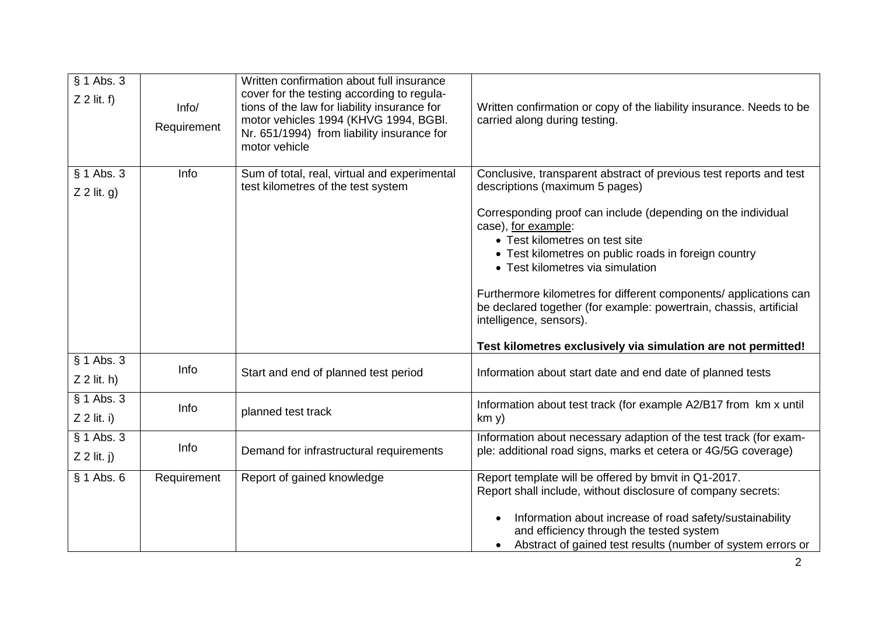| $§ 1$ Abs. 3<br>$Z$ 2 lit. f) | Info/<br>Requirement | Written confirmation about full insurance<br>cover for the testing according to regula-<br>tions of the law for liability insurance for<br>motor vehicles 1994 (KHVG 1994, BGBI.<br>Nr. 651/1994) from liability insurance for<br>motor vehicle | Written confirmation or copy of the liability insurance. Needs to be<br>carried along during testing.                                                                                                                                                                                                                                                                                                                                                    |
|-------------------------------|----------------------|-------------------------------------------------------------------------------------------------------------------------------------------------------------------------------------------------------------------------------------------------|----------------------------------------------------------------------------------------------------------------------------------------------------------------------------------------------------------------------------------------------------------------------------------------------------------------------------------------------------------------------------------------------------------------------------------------------------------|
| § 1 Abs. 3                    | Info                 | Sum of total, real, virtual and experimental<br>test kilometres of the test system                                                                                                                                                              | Conclusive, transparent abstract of previous test reports and test                                                                                                                                                                                                                                                                                                                                                                                       |
| $Z$ 2 lit. g)                 |                      |                                                                                                                                                                                                                                                 | descriptions (maximum 5 pages)                                                                                                                                                                                                                                                                                                                                                                                                                           |
|                               |                      |                                                                                                                                                                                                                                                 | Corresponding proof can include (depending on the individual<br>case), for example:<br>• Test kilometres on test site<br>• Test kilometres on public roads in foreign country<br>• Test kilometres via simulation<br>Furthermore kilometres for different components/ applications can<br>be declared together (for example: powertrain, chassis, artificial<br>intelligence, sensors).<br>Test kilometres exclusively via simulation are not permitted! |
| § 1 Abs. 3<br>$Z$ 2 lit. h)   | Info                 | Start and end of planned test period                                                                                                                                                                                                            | Information about start date and end date of planned tests                                                                                                                                                                                                                                                                                                                                                                                               |
| $§ 1$ Abs. 3<br>$Z$ 2 lit. i) | Info                 | planned test track                                                                                                                                                                                                                              | Information about test track (for example A2/B17 from km x until<br>km y)                                                                                                                                                                                                                                                                                                                                                                                |
| $§ 1$ Abs. 3<br>$Z$ 2 lit. j) | Info                 | Demand for infrastructural requirements                                                                                                                                                                                                         | Information about necessary adaption of the test track (for exam-<br>ple: additional road signs, marks et cetera or 4G/5G coverage)                                                                                                                                                                                                                                                                                                                      |
| $§ 1$ Abs. 6                  | Requirement          | Report of gained knowledge                                                                                                                                                                                                                      | Report template will be offered by bmvit in Q1-2017.<br>Report shall include, without disclosure of company secrets:<br>Information about increase of road safety/sustainability<br>and efficiency through the tested system<br>Abstract of gained test results (number of system errors or                                                                                                                                                              |